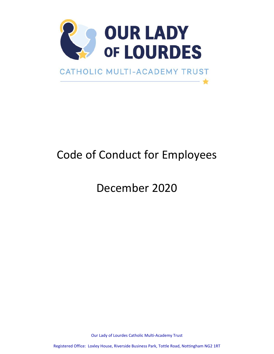

# Code of Conduct for Employees

December 2020

Our Lady of Lourdes Catholic Multi-Academy Trust

Registered Office: Loxley House, Riverside Business Park, Tottle Road, Nottingham NG2 1RT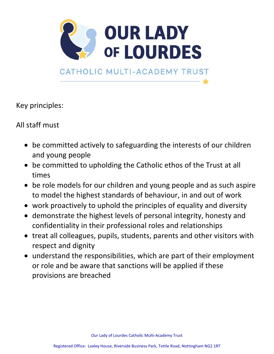

Key principles:

All staff must

- be committed actively to safeguarding the interests of our children and young people
- be committed to upholding the Catholic ethos of the Trust at all times
- be role models for our children and young people and as such aspire to model the highest standards of behaviour, in and out of work
- work proactively to uphold the principles of equality and diversity
- demonstrate the highest levels of personal integrity, honesty and confidentiality in their professional roles and relationships
- treat all colleagues, pupils, students, parents and other visitors with respect and dignity
- understand the responsibilities, which are part of their employment or role and be aware that sanctions will be applied if these provisions are breached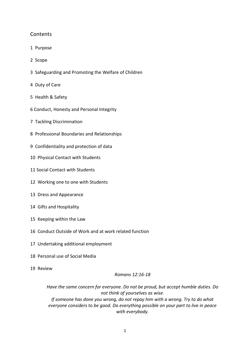# **Contents**

- 1 Purpose
- 2 Scope
- 3 Safeguarding and Promoting the Welfare of Children
- 4 Duty of Care
- 5 Health & Safety
- 6 Conduct, Honesty and Personal Integrity
- 7 Tackling Discrimination
- 8 Professional Boundaries and Relationships
- 9 Confidentiality and protection of data
- 10 Physical Contact with Students
- 11 Social Contact with Students
- 12 Working one to one with Students
- 13 Dress and Appearance
- 14 Gifts and Hospitality
- 15 Keeping within the Law
- 16 Conduct Outside of Work and at work related function
- 17 Undertaking additional employment
- 18 Personal use of Social Media
- 19 Review

*Romans 12:16-18*

*Have the same concern for everyone. Do not be proud, but accept humble duties. Do not think of yourselves as wise. If someone has done you wrong, do not repay him with a wrong. Try to do what everyone considers to be good. Do everything possible on your part to live in peace with everybody.*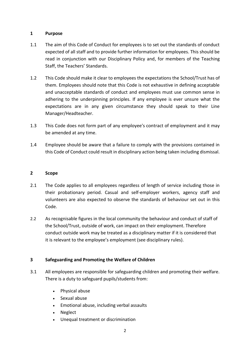## **1 Purpose**

- 1.1 The aim of this Code of Conduct for employees is to set out the standards of conduct expected of all staff and to provide further information for employees. This should be read in conjunction with our Disciplinary Policy and, for members of the Teaching Staff, the Teachers' Standards.
- 1.2 This Code should make it clear to employees the expectations the School/Trust has of them. Employees should note that this Code is not exhaustive in defining acceptable and unacceptable standards of conduct and employees must use common sense in adhering to the underpinning principles. If any employee is ever unsure what the expectations are in any given circumstance they should speak to their Line Manager/Headteacher.
- 1.3 This Code does not form part of any employee's contract of employment and it may be amended at any time.
- 1.4 Employee should be aware that a failure to comply with the provisions contained in this Code of Conduct could result in disciplinary action being taken including dismissal.

#### **2 Scope**

- 2.1 The Code applies to all employees regardless of length of service including those in their probationary period. Casual and self-employer workers, agency staff and volunteers are also expected to observe the standards of behaviour set out in this Code.
- 2.2 As recognisable figures in the local community the behaviour and conduct of staff of the School/Trust, outside of work, can impact on their employment. Therefore conduct outside work may be treated as a disciplinary matter if it is considered that it is relevant to the employee's employment (see disciplinary rules).

## **3 Safeguarding and Promoting the Welfare of Children**

- 3.1 All employees are responsible for safeguarding children and promoting their welfare. There is a duty to safeguard pupils/students from:
	- Physical abuse
	- Sexual abuse
	- Emotional abuse, including verbal assaults
	- Neglect
	- Unequal treatment or discrimination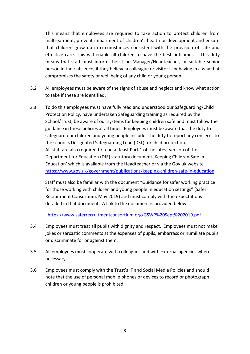This means that employees are required to take action to protect children from maltreatment, prevent impairment of children's health or development and ensure that children grow up in circumstances consistent with the provision of safe and effective care. This will enable all children to have the best outcomes. This duty means that staff must inform their Line Manager/Headteacher, or suitable senior person in their absence, if they believe a colleague or visitor is behaving in a way that compromises the safety or well being of any child or young person.

- 3.2 All employees must be aware of the signs of abuse and neglect and know what action to take if these are identified.
- 3.3 To do this employees must have fully read and understood our Safeguarding/Child Protection Policy, have undertaken Safeguarding training as required by the School/Trust, be aware of our systems for keeping children safe and must follow the guidance in these policies at all times. Employees must be aware that the duty to safeguard our children and young people includes the duty to report any concerns to the school's Designated Safeguarding Lead (DSL) for child protection. All staff are also required to read at least Part 1 of the latest version of the Department for Education (DfE) statutory document 'Keeping Children Safe in Education' which is available from the Headteacher or via the Gov.uk website <https://www.gov.uk/government/publications/keeping-children-safe-in-education>

Staff must also be familiar with the document "Guidance for safer working practice for those working with children and young people in education settings" (Safer Recruitment Consortium, May 2019) and must comply with the expectations detailed in that document. A link to the document is provided below:

<https://www.saferrecruitmentconsortium.org/GSWP%20Sept%202019.pdf>

- 3.4 Employees must treat all pupils with dignity and respect. Employees must not make jokes or sarcastic comments at the expenses of pupils, embarrass or humiliate pupils or discriminate for or against them.
- 3.5 All employees must cooperate with colleagues and with external agencies where necessary.
- 3.6 Employees must comply with the Trust's IT and Social Media Policies and should note that the use of personal mobile phones or devices to record or photograph children or young people is prohibited.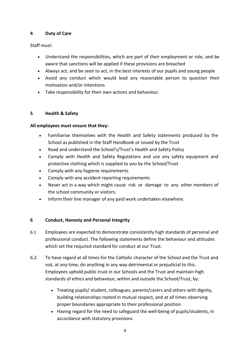## **4 Duty of Care**

Staff must:

- Understand the responsibilities, which are part of their employment or role, and be aware that sanctions will be applied if these provisions are breached
- Always act, and be seen to act, in the best interests of our pupils and young people
- Avoid any conduct which would lead any reasonable person to question their motivation and/or intentions
- Take responsibility for their own actions and behaviour.

## **5 Health & Safety**

## **All employees must ensure that they:**

- Familiarise themselves with the Health and Safety statements produced by the School as published in the Staff Handbook or issued by the Trust
- Read and understand the School's/Trust's Health and Safety Policy
- Comply with Health and Safety Regulations and use any safety equipment and protective clothing which is supplied to you by the School/Trust
- Comply with any hygiene requirements
- Comply with any accident reporting requirements
- Never act in a way which might cause risk or damage to any other members of the school community or visitors.
- Inform their line manager of any paid work undertaken elsewhere.

## **6 Conduct, Honesty and Personal Integrity**

- 6.1 Employees are expected to demonstrate consistently high standards of personal and professional conduct. The following statements define the behaviour and attitudes which set the required standard for conduct at our Trust.
- 6.2 To have regard at all times for the Catholic character of the School and the Trust and not, at any time, do anything in any way detrimental or prejudicial to this. Employees uphold public trust in our Schools and the Trust and maintain high standards of ethics and behaviour, within and outside the School/Trust, by:
	- Treating pupils/ student, colleagues, parents/carers and others with dignity, building relationships rooted in mutual respect, and at all times observing proper boundaries appropriate to their professional position
	- Having regard for the need to safeguard the well-being of pupils/students, in accordance with statutory provisions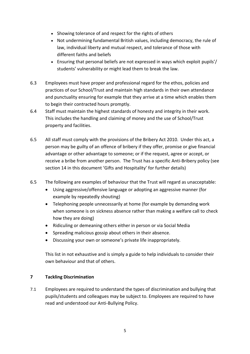- Showing tolerance of and respect for the rights of others
- Not undermining fundamental British values, including democracy, the rule of law, individual liberty and mutual respect, and tolerance of those with different faiths and beliefs
- Ensuring that personal beliefs are not expressed in ways which exploit pupils'/ students' vulnerability or might lead them to break the law.
- 6.3 Employees must have proper and professional regard for the ethos, policies and practices of our School/Trust and maintain high standards in their own attendance and punctuality ensuring for example that they arrive at a time which enables them to begin their contracted hours promptly.
- 6.4 Staff must maintain the highest standards of honesty and integrity in their work. This includes the handling and claiming of money and the use of School/Trust property and facilities.
- 6.5 All staff must comply with the provisions of the Bribery Act 2010. Under this act, a person may be guilty of an offence of bribery if they offer, promise or give financial advantage or other advantage to someone; or if the request, agree or accept, or receive a bribe from another person. The Trust has a specific Anti-Bribery policy (see section 14 in this document 'Gifts and Hospitality' for further details)
- 6.5 The following are examples of behaviour that the Trust will regard as unacceptable:
	- Using aggressive/offensive language or adopting an aggressive manner (for example by repeatedly shouting)
	- Telephoning people unnecessarily at home (for example by demanding work when someone is on sickness absence rather than making a welfare call to check how they are doing)
	- Ridiculing or demeaning others either in person or via Social Media
	- Spreading malicious gossip about others in their absence.
	- Discussing your own or someone's private life inappropriately.

This list in not exhaustive and is simply a guide to help individuals to consider their own behaviour and that of others.

## **7 Tackling Discrimination**

7.1 Employees are required to understand the types of discrimination and bullying that pupils/students and colleagues may be subject to. Employees are required to have read and understood our Anti-Bullying Policy.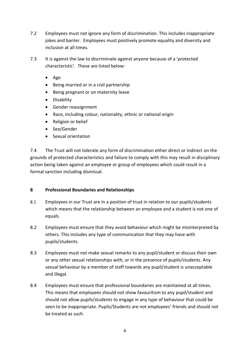- 7.2 Employees must not ignore any form of discrimination. This includes inappropriate jokes and banter. Employees must positively promote equality and diversity and inclusion at all times.
- 7.3 It is against the law to discriminate against anyone because of a 'protected characteristic'. These are listed below:
	- Age
	- Being married or in a civil partnership
	- Being pregnant or on maternity leave
	- Disability
	- Gender reassignment
	- Race, including colour, nationality, ethnic or national origin
	- Religion or belief
	- Sex/Gender
	- Sexual orientation

7.4 The Trust will not tolerate any form of discrimination either direct or indirect on the grounds of protected characteristics and failure to comply with this may result in disciplinary action being taken against an employee or group of employees which could result in a formal sanction including dismissal.

## **8 Professional Boundaries and Relationships**

- 8.1 Employees in our Trust are in a position of trust in relation to our pupils/students which means that the relationship between an employee and a student is not one of equals.
- 8.2 Employees must ensure that they avoid behaviour which might be misinterpreted by others. This includes any type of communication that they may have with pupils/students.
- 8.3 Employees must not make sexual remarks to any pupil/student or discuss their own or any other sexual relationships with, or in the presence of pupils/students. Any sexual behaviour by a member of staff towards any pupil/student is unacceptable and illegal.
- 8.4 Employees must ensure that professional boundaries are maintained at all times. This means that employees should not show favouritism to any pupil/student and should not allow pupils/students to engage in any type of behaviour that could be seen to be inappropriate. Pupils/Students are not employees' friends and should not be treated as such.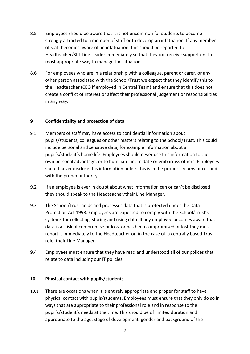- 8.5 Employees should be aware that it is not uncommon for students to become strongly attracted to a member of staff or to develop an infatuation. If any member of staff becomes aware of an infatuation, this should be reported to Headteacher/SLT Line Leader immediately so that they can receive support on the most appropriate way to manage the situation.
- 8.6 For employees who are in a relationship with a colleague, parent or carer, or any other person associated with the School/Trust we expect that they identify this to the Headteacher (CEO if employed in Central Team) and ensure that this does not create a conflict of interest or affect their professional judgement or responsibilities in any way.

## **9 Confidentiality and protection of data**

- 9.1 Members of staff may have access to confidential information about pupils/students, colleagues or other matters relating to the School/Trust. This could include personal and sensitive data, for example information about a pupil's/student's home life. Employees should never use this information to their own personal advantage, or to humiliate, intimidate or embarrass others. Employees should never disclose this information unless this is in the proper circumstances and with the proper authority.
- 9.2 If an employee is ever in doubt about what information can or can't be disclosed they should speak to the Headteacher/their Line Manager.
- 9.3 The School/Trust holds and processes data that is protected under the Data Protection Act 1998. Employees are expected to comply with the School/Trust's systems for collecting, storing and using data. If any employee becomes aware that data is at risk of compromise or loss, or has been compromised or lost they must report it immediately to the Headteacher or, in the case of a centrally based Trust role, their Line Manager.
- 9.4 Employees must ensure that they have read and understood all of our polices that relate to data including our IT policies.

#### **10 Physical contact with pupils/students**

10.1 There are occasions when it is entirely appropriate and proper for staff to have physical contact with pupils/students. Employees must ensure that they only do so in ways that are appropriate to their professional role and in response to the pupil's/student's needs at the time. This should be of limited duration and appropriate to the age, stage of development, gender and background of the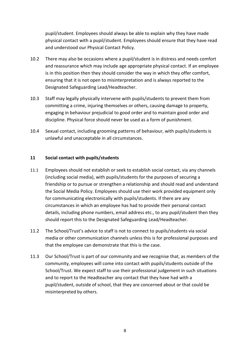pupil/student. Employees should always be able to explain why they have made physical contact with a pupil/student. Employees should ensure that they have read and understood our Physical Contact Policy.

- 10.2 There may also be occasions where a pupil/student is in distress and needs comfort and reassurance which may include age appropriate physical contact. If an employee is in this position then they should consider the way in which they offer comfort, ensuring that it is not open to misinterpretation and is always reported to the Designated Safeguarding Lead/Headteacher.
- 10.3 Staff may legally physically intervene with pupils/students to prevent them from committing a crime, injuring themselves or others, causing damage to property, engaging in behaviour prejudicial to good order and to maintain good order and discipline. Physical force should never be used as a form of punishment.
- 10.4 Sexual contact, including grooming patterns of behaviour, with pupils/students is unlawful and unacceptable in all circumstances.

#### **11 Social contact with pupils/students**

- 11.1 Employees should not establish or seek to establish social contact, via any channels (including social media), with pupils/students for the purposes of securing a friendship or to pursue or strengthen a relationship and should read and understand the Social Media Policy. Employees should use their work provided equipment only for communicating electronically with pupils/students. If there are any circumstances in which an employee has had to provide their personal contact details, including phone numbers, email address etc., to any pupil/student then they should report this to the Designated Safeguarding Lead/Headteacher.
- 11.2 The School/Trust's advice to staff is not to connect to pupils/students via social media or other communication channels unless this is for professional purposes and that the employee can demonstrate that this is the case.
- 11.3 Our School/Trust is part of our community and we recognise that, as members of the community, employees will come into contact with pupils/students outside of the School/Trust. We expect staff to use their professional judgement in such situations and to report to the Headteacher any contact that they have had with a pupil/student, outside of school, that they are concerned about or that could be misinterpreted by others.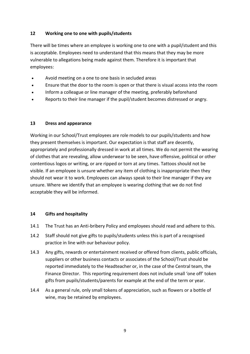## **12 Working one to one with pupils/students**

There will be times where an employee is working one to one with a pupil/student and this is acceptable. Employees need to understand that this means that they may be more vulnerable to allegations being made against them. Therefore it is important that employees:

- Avoid meeting on a one to one basis in secluded areas
- Ensure that the door to the room is open or that there is visual access into the room
- Inform a colleague or line manager of the meeting, preferably beforehand
- Reports to their line manager if the pupil/student becomes distressed or angry.

## **13 Dress and appearance**

Working in our School/Trust employees are role models to our pupils/students and how they present themselves is important. Our expectation is that staff are decently, appropriately and professionally dressed in work at all times. We do not permit the wearing of clothes that are revealing, allow underwear to be seen, have offensive, political or other contentious logos or writing, or are ripped or torn at any times. Tattoos should not be visible. If an employee is unsure whether any item of clothing is inappropriate then they should not wear it to work. Employees can always speak to their line manager if they are unsure. Where we identify that an employee is wearing clothing that we do not find acceptable they will be informed.

## **14 Gifts and hospitality**

- 14.1 The Trust has an Anti-bribery Policy and employees should read and adhere to this.
- 14.2 Staff should not give gifts to pupils/students unless this is part of a recognised practice in line with our behaviour policy.
- 14.3 Any gifts, rewards or entertainment received or offered from clients, public officials, suppliers or other business contacts or associates of the School/Trust should be reported immediately to the Headteacher or, in the case of the Central team, the Finance Director. This reporting requirement does not include small 'one off' token gifts from pupils/students/parents for example at the end of the term or year.
- 14.4 As a general rule, only small tokens of appreciation, such as flowers or a bottle of wine, may be retained by employees.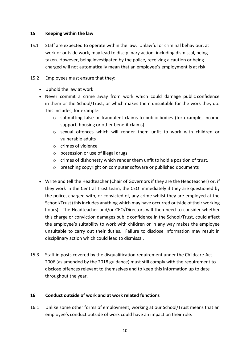#### **15 Keeping within the law**

- 15.1 Staff are expected to operate within the law. Unlawful or criminal behaviour, at work or outside work, may lead to disciplinary action, including dismissal, being taken. However, being investigated by the police, receiving a caution or being charged will not automatically mean that an employee's employment is at risk.
- 15.2 Employees must ensure that they:
	- Uphold the law at work
	- Never commit a crime away from work which could damage public confidence in them or the School/Trust, or which makes them unsuitable for the work they do. This includes, for example:
		- o submitting false or fraudulent claims to public bodies (for example, income support, housing or other benefit claims)
		- $\circ$  sexual offences which will render them unfit to work with children or vulnerable adults
		- o crimes of violence
		- o possession or use of illegal drugs
		- o crimes of dishonesty which render them unfit to hold a position of trust.
		- o breaching copyright on computer software or published documents
	- Write and tell the Headteacher (Chair of Governors if they are the Headteacher) or, if they work in the Central Trust team, the CEO immediately if they are questioned by the police, charged with, or convicted of, any crime whilst they are employed at the School/Trust (this includes anything which may have occurred outside of their working hours). The Headteacher and/or CEO/Directors will then need to consider whether this charge or conviction damages public confidence in the School/Trust, could affect the employee's suitability to work with children or in any way makes the employee unsuitable to carry out their duties. Failure to disclose information may result in disciplinary action which could lead to dismissal.
- 15.3 Staff in posts covered by the disqualification requirement under the Childcare Act 2006 (as amended by the 2018 guidance) must still comply with the requirement to disclose offences relevant to themselves and to keep this information up to date throughout the year.

## **16 Conduct outside of work and at work related functions**

16.1 Unlike some other forms of employment, working at our School/Trust means that an employee's conduct outside of work could have an impact on their role.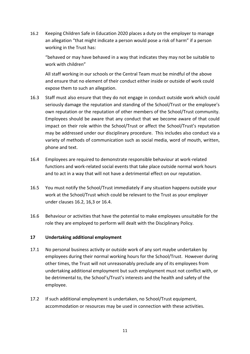16.2 Keeping Children Safe in Education 2020 places a duty on the employer to manage an allegation "that might indicate a person would pose a risk of harm" if a person working in the Trust has:

"behaved or may have behaved in a way that indicates they may not be suitable to work with children"

All staff working in our schools or the Central Team must be mindful of the above and ensure that no element of their conduct either inside or outside of work could expose them to such an allegation.

- 16.3 Staff must also ensure that they do not engage in conduct outside work which could seriously damage the reputation and standing of the School/Trust or the employee's own reputation or the reputation of other members of the School/Trust community. Employees should be aware that any conduct that we become aware of that could impact on their role within the School/Trust or affect the School/Trust's reputation may be addressed under our disciplinary procedure. This includes also conduct via a variety of methods of communication such as social media, word of mouth, written, phone and text.
- 16.4 Employees are required to demonstrate responsible behaviour at work-related functions and work-related social events that take place outside normal work hours and to act in a way that will not have a detrimental effect on our reputation.
- 16.5 You must notify the School/Trust immediately if any situation happens outside your work at the School/Trust which could be relevant to the Trust as your employer under clauses 16.2, 16,3 or 16.4.
- 16.6 Behaviour or activities that have the potential to make employees unsuitable for the role they are employed to perform will dealt with the Disciplinary Policy.

## **17 Undertaking additional employment**

- 17.1 No personal business activity or outside work of any sort maybe undertaken by employees during their normal working hours for the School/Trust. However during other times, the Trust will not unreasonably preclude any of its employees from undertaking additional employment but such employment must not conflict with, or be detrimental to, the School's/Trust's interests and the health and safety of the employee.
- 17.2 If such additional employment is undertaken, no School/Trust equipment, accommodation or resources may be used in connection with these activities.